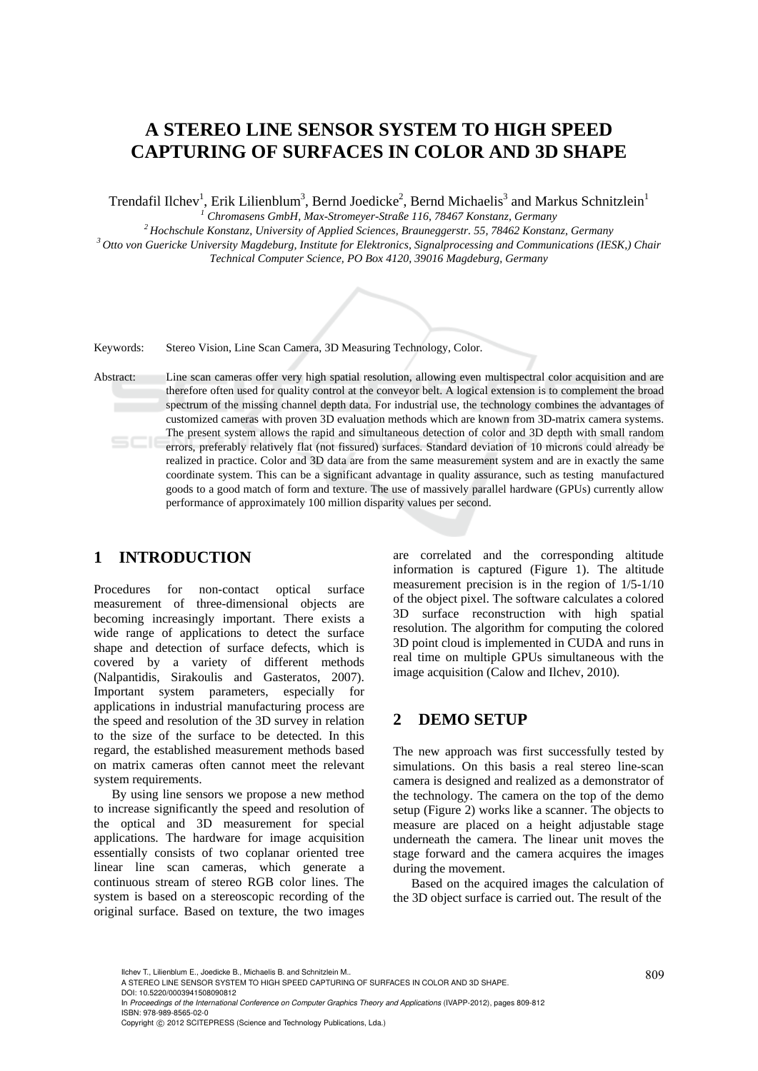# **A STEREO LINE SENSOR SYSTEM TO HIGH SPEED CAPTURING OF SURFACES IN COLOR AND 3D SHAPE**

Trendafil Ilchev<sup>1</sup>, Erik Lilienblum<sup>3</sup>, Bernd Joedicke<sup>2</sup>, Bernd Michaelis<sup>3</sup> and Markus Schnitzlein<sup>1</sup>

<sup>1</sup> Chromasens GmbH, Max-Stromeyer-Straße 116, 78467 Konstanz, Germany

<sup>2</sup> Hochschule Konstanz, University of Applied Sciences, Brauneggerstr. 55, 78462 Konstanz, Germany<br><sup>3</sup> Otto von Guericke University Magdeburg, Institute for Elektronics, Signalprocessing and Communications (IESK,) Chair *Technical Computer Science, PO Box 4120, 39016 Magdeburg, Germany* 

Keywords: Stereo Vision, Line Scan Camera, 3D Measuring Technology, Color.

Abstract: Line scan cameras offer very high spatial resolution, allowing even multispectral color acquisition and are therefore often used for quality control at the conveyor belt. A logical extension is to complement the broad spectrum of the missing channel depth data. For industrial use, the technology combines the advantages of customized cameras with proven 3D evaluation methods which are known from 3D-matrix camera systems. The present system allows the rapid and simultaneous detection of color and 3D depth with small random errors, preferably relatively flat (not fissured) surfaces. Standard deviation of 10 microns could already be realized in practice. Color and 3D data are from the same measurement system and are in exactly the same coordinate system. This can be a significant advantage in quality assurance, such as testing manufactured goods to a good match of form and texture. The use of massively parallel hardware (GPUs) currently allow performance of approximately 100 million disparity values per second.

## **1 INTRODUCTION**

Procedures for non-contact optical surface measurement of three-dimensional objects are becoming increasingly important. There exists a wide range of applications to detect the surface shape and detection of surface defects, which is covered by a variety of different methods (Nalpantidis, Sirakoulis and Gasteratos, 2007). Important system parameters, especially for applications in industrial manufacturing process are the speed and resolution of the 3D survey in relation to the size of the surface to be detected. In this regard, the established measurement methods based on matrix cameras often cannot meet the relevant system requirements.

By using line sensors we propose a new method to increase significantly the speed and resolution of the optical and 3D measurement for special applications. The hardware for image acquisition essentially consists of two coplanar oriented tree linear line scan cameras, which generate a continuous stream of stereo RGB color lines. The system is based on a stereoscopic recording of the original surface. Based on texture, the two images

are correlated and the corresponding altitude information is captured (Figure 1). The altitude measurement precision is in the region of 1/5-1/10 of the object pixel. The software calculates a colored 3D surface reconstruction with high spatial resolution. The algorithm for computing the colored 3D point cloud is implemented in CUDA and runs in real time on multiple GPUs simultaneous with the image acquisition (Calow and Ilchev, 2010).

# **2 DEMO SETUP**

The new approach was first successfully tested by simulations. On this basis a real stereo line-scan camera is designed and realized as a demonstrator of the technology. The camera on the top of the demo setup (Figure 2) works like a scanner. The objects to measure are placed on a height adjustable stage underneath the camera. The linear unit moves the stage forward and the camera acquires the images during the movement.

Based on the acquired images the calculation of the 3D object surface is carried out. The result of the

Copyright © 2012 SCITEPRESS (Science and Technology Publications, Lda.)

<sup>809</sup> Ilchev T., Lilienblum E., Joedicke B., Michaelis B. and Schnitzlein M.. A STEREO LINE SENSOR SYSTEM TO HIGH SPEED CAPTURING OF SURFACES IN COLOR AND 3D SHAPE. DOI: 10.5220/0003941508090812

In *Proceedings of the International Conference on Computer Graphics Theory and Applications* (IVAPP-2012), pages 809-812 ISBN: 978-989-8565-02-0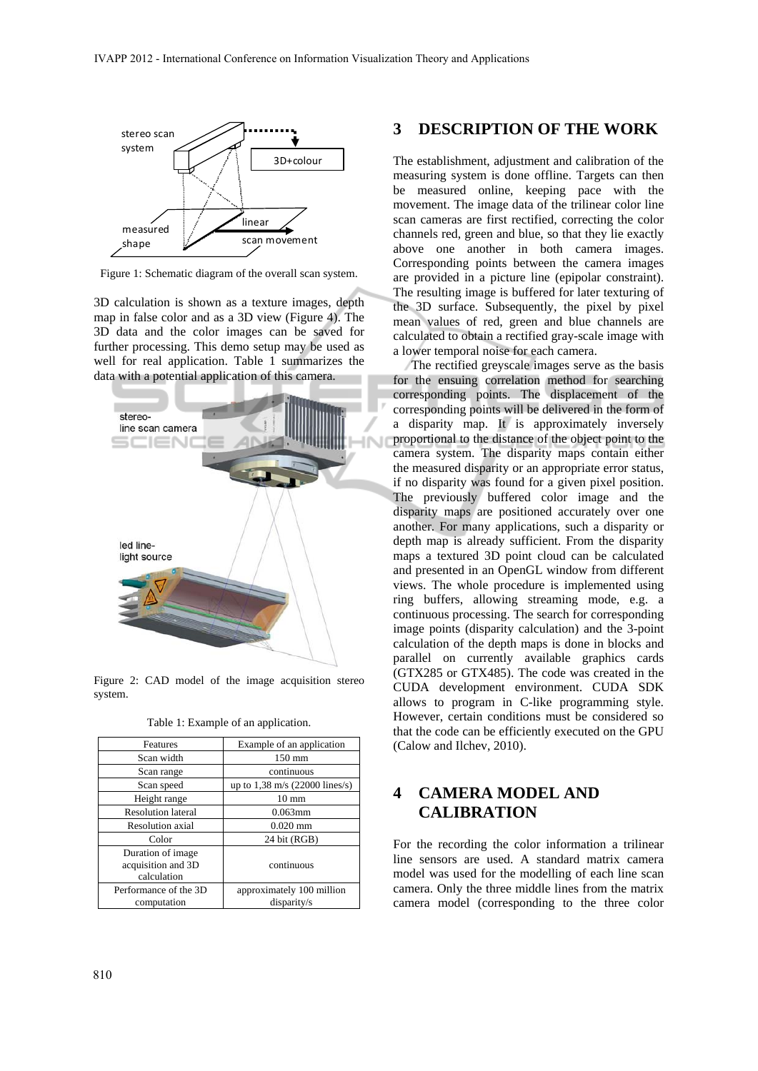

Figure 1: Schematic diagram of the overall scan system.

3D calculation is shown as a texture images, depth map in false color and as a 3D view (Figure 4). The 3D data and the color images can be saved for further processing. This demo setup may be used as well for real application. Table 1 summarizes the data with a potential application of this camera.



Figure 2: CAD model of the image acquisition stereo system.

Table 1: Example of an application.

| Features                                               | Example of an application                |
|--------------------------------------------------------|------------------------------------------|
| Scan width                                             | $150 \text{ mm}$                         |
| Scan range                                             | continuous                               |
| Scan speed                                             | up to $1,38 \text{ m/s}$ (22000 lines/s) |
| Height range                                           | $10 \text{ mm}$                          |
| <b>Resolution lateral</b>                              | $0.063$ mm                               |
| <b>Resolution</b> axial                                | $0.020$ mm                               |
| Color                                                  | 24 bit (RGB)                             |
| Duration of image<br>acquisition and 3D<br>calculation | continuous                               |
| Performance of the 3D<br>computation                   | approximately 100 million<br>disparity/s |

### **3 DESCRIPTION OF THE WORK**

The establishment, adjustment and calibration of the measuring system is done offline. Targets can then be measured online, keeping pace with the movement. The image data of the trilinear color line scan cameras are first rectified, correcting the color channels red, green and blue, so that they lie exactly above one another in both camera images. Corresponding points between the camera images are provided in a picture line (epipolar constraint). The resulting image is buffered for later texturing of the 3D surface. Subsequently, the pixel by pixel mean values of red, green and blue channels are calculated to obtain a rectified gray-scale image with a lower temporal noise for each camera.

The rectified greyscale images serve as the basis for the ensuing correlation method for searching corresponding points. The displacement of the corresponding points will be delivered in the form of a disparity map. It is approximately inversely proportional to the distance of the object point to the camera system. The disparity maps contain either the measured disparity or an appropriate error status, if no disparity was found for a given pixel position. The previously buffered color image and the disparity maps are positioned accurately over one another. For many applications, such a disparity or depth map is already sufficient. From the disparity maps a textured 3D point cloud can be calculated and presented in an OpenGL window from different views. The whole procedure is implemented using ring buffers, allowing streaming mode, e.g. a continuous processing. The search for corresponding image points (disparity calculation) and the 3-point calculation of the depth maps is done in blocks and parallel on currently available graphics cards (GTX285 or GTX485). The code was created in the CUDA development environment. CUDA SDK allows to program in C-like programming style. However, certain conditions must be considered so that the code can be efficiently executed on the GPU (Calow and Ilchev, 2010).

# **4 CAMERA MODEL AND CALIBRATION**

For the recording the color information a trilinear line sensors are used. A standard matrix camera model was used for the modelling of each line scan camera. Only the three middle lines from the matrix camera model (corresponding to the three color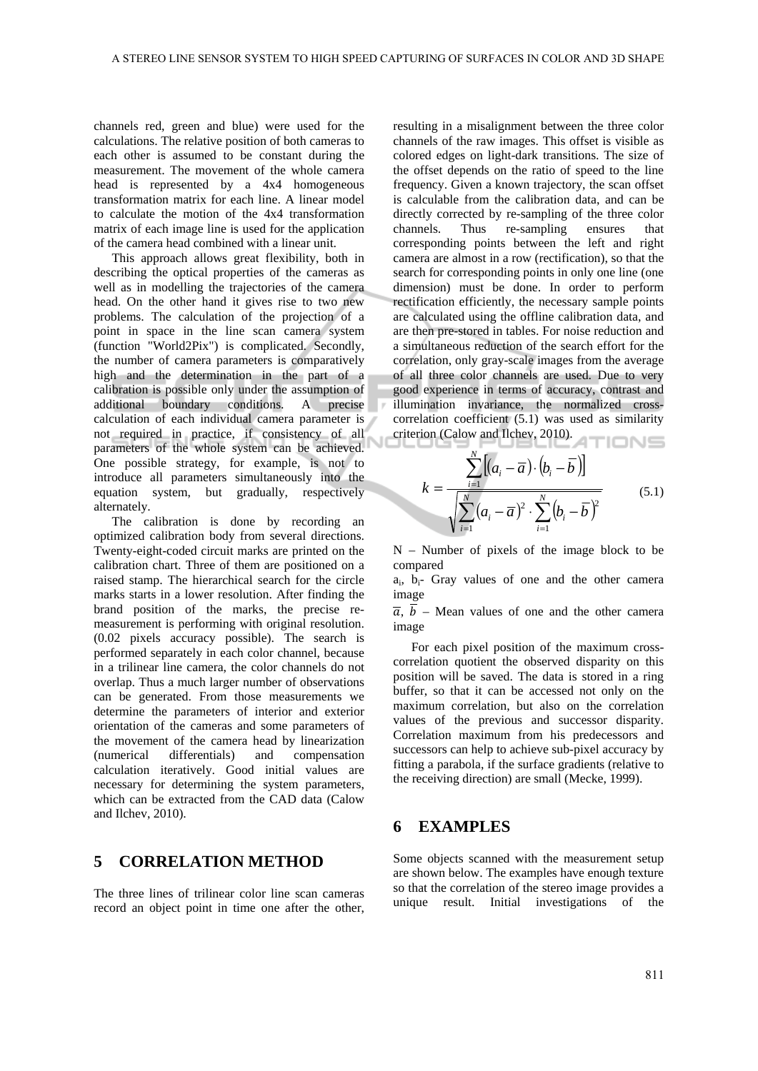channels red, green and blue) were used for the calculations. The relative position of both cameras to each other is assumed to be constant during the measurement. The movement of the whole camera head is represented by a 4x4 homogeneous transformation matrix for each line. A linear model to calculate the motion of the 4x4 transformation matrix of each image line is used for the application of the camera head combined with a linear unit.

This approach allows great flexibility, both in describing the optical properties of the cameras as well as in modelling the trajectories of the camera head. On the other hand it gives rise to two new problems. The calculation of the projection of a point in space in the line scan camera system (function "World2Pix") is complicated. Secondly, the number of camera parameters is comparatively high and the determination in the part of a calibration is possible only under the assumption of additional boundary conditions. A precise calculation of each individual camera parameter is not required in practice, if consistency of all parameters of the whole system can be achieved. One possible strategy, for example, is not to introduce all parameters simultaneously into the equation system, but gradually, respectively alternately.

The calibration is done by recording an optimized calibration body from several directions. Twenty-eight-coded circuit marks are printed on the calibration chart. Three of them are positioned on a raised stamp. The hierarchical search for the circle marks starts in a lower resolution. After finding the brand position of the marks, the precise remeasurement is performing with original resolution. (0.02 pixels accuracy possible). The search is performed separately in each color channel, because in a trilinear line camera, the color channels do not overlap. Thus a much larger number of observations can be generated. From those measurements we determine the parameters of interior and exterior orientation of the cameras and some parameters of the movement of the camera head by linearization (numerical differentials) and compensation calculation iteratively. Good initial values are necessary for determining the system parameters, which can be extracted from the CAD data (Calow and Ilchev, 2010).

# **5 CORRELATION METHOD**

The three lines of trilinear color line scan cameras record an object point in time one after the other, resulting in a misalignment between the three color channels of the raw images. This offset is visible as colored edges on light-dark transitions. The size of the offset depends on the ratio of speed to the line frequency. Given a known trajectory, the scan offset is calculable from the calibration data, and can be directly corrected by re-sampling of the three color channels. Thus re-sampling ensures that corresponding points between the left and right camera are almost in a row (rectification), so that the search for corresponding points in only one line (one dimension) must be done. In order to perform rectification efficiently, the necessary sample points are calculated using the offline calibration data, and are then pre-stored in tables. For noise reduction and a simultaneous reduction of the search effort for the correlation, only gray-scale images from the average of all three color channels are used. Due to very good experience in terms of accuracy, contrast and illumination invariance, the normalized crosscorrelation coefficient (5.1) was used as similarity criterion (Calow and Ilchev, 2010).

$$
k = \frac{\sum_{i=1}^{N} [(a_i - \overline{a}) \cdot (b_i - \overline{b})]}{\sqrt{\sum_{i=1}^{N} (a_i - \overline{a})^2 \cdot \sum_{i=1}^{N} (b_i - \overline{b})^2}}
$$
(5.1)

N – Number of pixels of the image block to be compared

 $a_i$ ,  $b_i$ - Gray values of one and the other camera image

 $\overline{a}$ ,  $\overline{b}$  – Mean values of one and the other camera image

For each pixel position of the maximum crosscorrelation quotient the observed disparity on this position will be saved. The data is stored in a ring buffer, so that it can be accessed not only on the maximum correlation, but also on the correlation values of the previous and successor disparity. Correlation maximum from his predecessors and successors can help to achieve sub-pixel accuracy by fitting a parabola, if the surface gradients (relative to the receiving direction) are small (Mecke, 1999).

#### **6 EXAMPLES**

Some objects scanned with the measurement setup are shown below. The examples have enough texture so that the correlation of the stereo image provides a unique result. Initial investigations of the